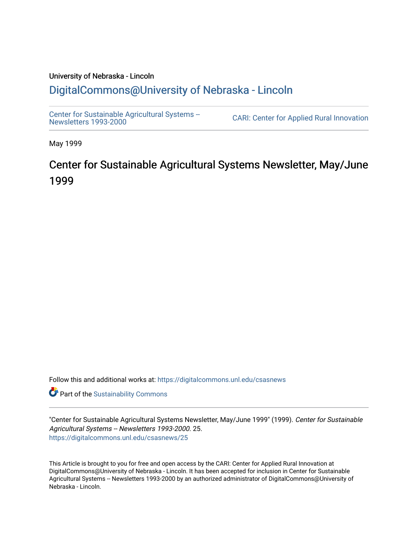### University of Nebraska - Lincoln [DigitalCommons@University of Nebraska - Lincoln](https://digitalcommons.unl.edu/)

[Center for Sustainable Agricultural Systems --](https://digitalcommons.unl.edu/csasnews)<br>Newsletters 1993-2000

CARI: Center for Applied Rural Innovation

May 1999

## Center for Sustainable Agricultural Systems Newsletter, May/June 1999

Follow this and additional works at: [https://digitalcommons.unl.edu/csasnews](https://digitalcommons.unl.edu/csasnews?utm_source=digitalcommons.unl.edu%2Fcsasnews%2F25&utm_medium=PDF&utm_campaign=PDFCoverPages) 

**Part of the [Sustainability Commons](http://network.bepress.com/hgg/discipline/1031?utm_source=digitalcommons.unl.edu%2Fcsasnews%2F25&utm_medium=PDF&utm_campaign=PDFCoverPages)** 

"Center for Sustainable Agricultural Systems Newsletter, May/June 1999" (1999). Center for Sustainable Agricultural Systems -- Newsletters 1993-2000. 25. [https://digitalcommons.unl.edu/csasnews/25](https://digitalcommons.unl.edu/csasnews/25?utm_source=digitalcommons.unl.edu%2Fcsasnews%2F25&utm_medium=PDF&utm_campaign=PDFCoverPages) 

This Article is brought to you for free and open access by the CARI: Center for Applied Rural Innovation at DigitalCommons@University of Nebraska - Lincoln. It has been accepted for inclusion in Center for Sustainable Agricultural Systems -- Newsletters 1993-2000 by an authorized administrator of DigitalCommons@University of Nebraska - Lincoln.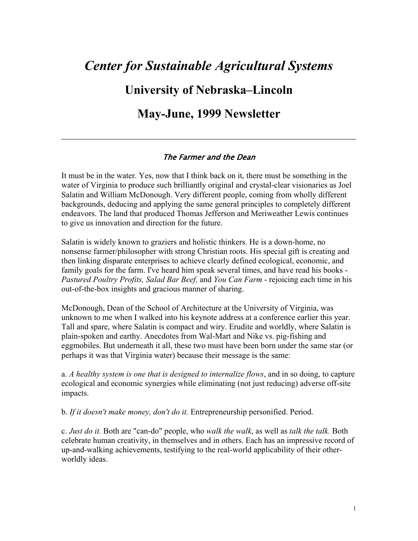# *Center for Sustainable Agricultural Systems*  **University of Nebraska–Lincoln May-June, 1999 Newsletter**

#### The Farmer and the Dean

It must be in the water. Yes, now that I think back on it, there must be something in the water of Virginia to produce such brilliantly original and crystal-clear visionaries as Joel Salatin and William McDonough. Very different people, coming from wholly different backgrounds, deducing and applying the same general principles to completely different endeavors. The land that produced Thomas Jefferson and Meriweather Lewis continues to give us innovation and direction for the future.

Salatin is widely known to graziers and holistic thinkers. He is a down-home, no nonsense farmer/philosopher with strong Christian roots. His special gift is creating and then linking disparate enterprises to achieve clearly defined ecological, economic, and family goals for the farm. I've heard him speak several times, and have read his books - *Pastured Poultry Profits, Salad Bar Beef,* and *You Can Farm* - rejoicing each time in his out-of-the-box insights and gracious manner of sharing.

McDonough, Dean of the School of Architecture at the University of Virginia, was unknown to me when I walked into his keynote address at a conference earlier this year. Tall and spare, where Salatin is compact and wiry. Erudite and worldly, where Salatin is plain-spoken and earthy. Anecdotes from Wal-Mart and Nike vs. pig-fishing and eggmobiles. But underneath it all, these two must have been born under the same star (or perhaps it was that Virginia water) because their message is the same:

a. *A healthy system is one that is designed to internalize flows*, and in so doing, to capture ecological and economic synergies while eliminating (not just reducing) adverse off-site impacts.

b. *If it doesn't make money, don't do it.* Entrepreneurship personified. Period.

c. *Just do it.* Both are "can-do" people, who *walk the walk*, as well as *talk the talk.* Both celebrate human creativity, in themselves and in others. Each has an impressive record of up-and-walking achievements, testifying to the real-world applicability of their otherworldly ideas.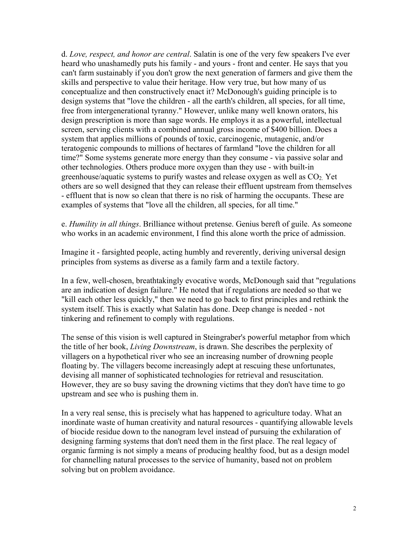d. *Love, respect, and honor are central*. Salatin is one of the very few speakers I've ever heard who unashamedly puts his family - and yours - front and center. He says that you can't farm sustainably if you don't grow the next generation of farmers and give them the skills and perspective to value their heritage. How very true, but how many of us conceptualize and then constructively enact it? McDonough's guiding principle is to design systems that "love the children - all the earth's children, all species, for all time, free from intergenerational tyranny." However, unlike many well known orators, his design prescription is more than sage words. He employs it as a powerful, intellectual screen, serving clients with a combined annual gross income of \$400 billion. Does a system that applies millions of pounds of toxic, carcinogenic, mutagenic, and/or teratogenic compounds to millions of hectares of farmland "love the children for all time?" Some systems generate more energy than they consume - via passive solar and other technologies. Others produce more oxygen than they use - with built-in greenhouse/aquatic systems to purify wastes and release oxygen as well as  $CO<sub>2</sub>$ . Yet others are so well designed that they can release their effluent upstream from themselves - effluent that is now so clean that there is no risk of harming the occupants. These are examples of systems that "love all the children, all species, for all time."

e. *Humility in all things*. Brilliance without pretense. Genius bereft of guile. As someone who works in an academic environment, I find this alone worth the price of admission.

Imagine it - farsighted people, acting humbly and reverently, deriving universal design principles from systems as diverse as a family farm and a textile factory.

In a few, well-chosen, breathtakingly evocative words, McDonough said that "regulations are an indication of design failure." He noted that if regulations are needed so that we "kill each other less quickly," then we need to go back to first principles and rethink the system itself. This is exactly what Salatin has done. Deep change is needed - not tinkering and refinement to comply with regulations.

The sense of this vision is well captured in Steingraber's powerful metaphor from which the title of her book, *Living Downstream*, is drawn. She describes the perplexity of villagers on a hypothetical river who see an increasing number of drowning people floating by. The villagers become increasingly adept at rescuing these unfortunates, devising all manner of sophisticated technologies for retrieval and resuscitation. However, they are so busy saving the drowning victims that they don't have time to go upstream and see who is pushing them in.

In a very real sense, this is precisely what has happened to agriculture today. What an inordinate waste of human creativity and natural resources - quantifying allowable levels of biocide residue down to the nanogram level instead of pursuing the exhilaration of designing farming systems that don't need them in the first place. The real legacy of organic farming is not simply a means of producing healthy food, but as a design model for channelling natural processes to the service of humanity, based not on problem solving but on problem avoidance.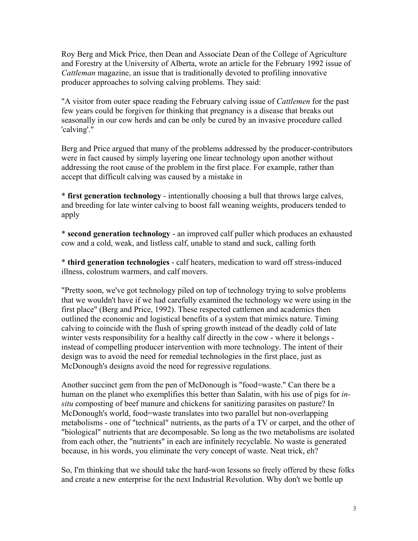Roy Berg and Mick Price, then Dean and Associate Dean of the College of Agriculture and Forestry at the University of Alberta, wrote an article for the February 1992 issue of *Cattleman* magazine, an issue that is traditionally devoted to profiling innovative producer approaches to solving calving problems. They said:

"A visitor from outer space reading the February calving issue of *Cattlemen* for the past few years could be forgiven for thinking that pregnancy is a disease that breaks out seasonally in our cow herds and can be only be cured by an invasive procedure called 'calving'."

Berg and Price argued that many of the problems addressed by the producer-contributors were in fact caused by simply layering one linear technology upon another without addressing the root cause of the problem in the first place. For example, rather than accept that difficult calving was caused by a mistake in

\* **first generation technology** - intentionally choosing a bull that throws large calves, and breeding for late winter calving to boost fall weaning weights, producers tended to apply

\* **second generation technology** - an improved calf puller which produces an exhausted cow and a cold, weak, and listless calf, unable to stand and suck, calling forth

\* **third generation technologies** - calf heaters, medication to ward off stress-induced illness, colostrum warmers, and calf movers.

"Pretty soon, we've got technology piled on top of technology trying to solve problems that we wouldn't have if we had carefully examined the technology we were using in the first place" (Berg and Price, 1992). These respected cattlemen and academics then outlined the economic and logistical benefits of a system that mimics nature. Timing calving to coincide with the flush of spring growth instead of the deadly cold of late winter vests responsibility for a healthy calf directly in the cow - where it belongs instead of compelling producer intervention with more technology. The intent of their design was to avoid the need for remedial technologies in the first place, just as McDonough's designs avoid the need for regressive regulations.

Another succinct gem from the pen of McDonough is "food=waste." Can there be a human on the planet who exemplifies this better than Salatin, with his use of pigs for *insitu* composting of beef manure and chickens for sanitizing parasites on pasture? In McDonough's world, food=waste translates into two parallel but non-overlapping metabolisms - one of "technical" nutrients, as the parts of a TV or carpet, and the other of "biological" nutrients that are decomposable. So long as the two metabolisms are isolated from each other, the "nutrients" in each are infinitely recyclable. No waste is generated because, in his words, you eliminate the very concept of waste. Neat trick, eh?

So, I'm thinking that we should take the hard-won lessons so freely offered by these folks and create a new enterprise for the next Industrial Revolution. Why don't we bottle up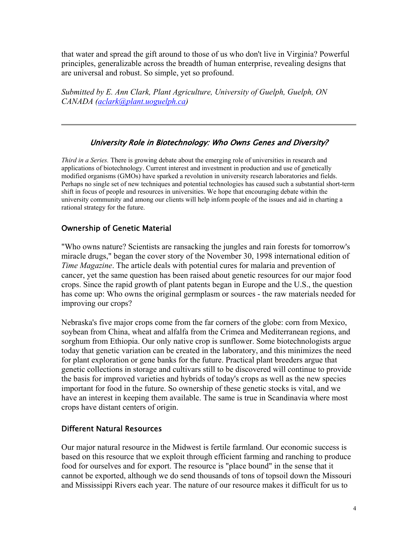that water and spread the gift around to those of us who don't live in Virginia? Powerful principles, generalizable across the breadth of human enterprise, revealing designs that are universal and robust. So simple, yet so profound.

*Submitted by E. Ann Clark, Plant Agriculture, University of Guelph, Guelph, ON CANADA (aclark@plant.uoguelph.ca)*

#### University Role in Biotechnology: Who Owns Genes and Diversity?

*Third in a Series.* There is growing debate about the emerging role of universities in research and applications of biotechnology. Current interest and investment in production and use of genetically modified organisms (GMOs) have sparked a revolution in university research laboratories and fields. Perhaps no single set of new techniques and potential technologies has caused such a substantial short-term shift in focus of people and resources in universities. We hope that encouraging debate within the university community and among our clients will help inform people of the issues and aid in charting a rational strategy for the future.

#### Ownership of Genetic Material

"Who owns nature? Scientists are ransacking the jungles and rain forests for tomorrow's miracle drugs," began the cover story of the November 30, 1998 international edition of *Time Magazine*. The article deals with potential cures for malaria and prevention of cancer, yet the same question has been raised about genetic resources for our major food crops. Since the rapid growth of plant patents began in Europe and the U.S., the question has come up: Who owns the original germplasm or sources - the raw materials needed for improving our crops?

Nebraska's five major crops come from the far corners of the globe: corn from Mexico, soybean from China, wheat and alfalfa from the Crimea and Mediterranean regions, and sorghum from Ethiopia. Our only native crop is sunflower. Some biotechnologists argue today that genetic variation can be created in the laboratory, and this minimizes the need for plant exploration or gene banks for the future. Practical plant breeders argue that genetic collections in storage and cultivars still to be discovered will continue to provide the basis for improved varieties and hybrids of today's crops as well as the new species important for food in the future. So ownership of these genetic stocks is vital, and we have an interest in keeping them available. The same is true in Scandinavia where most crops have distant centers of origin.

#### Different Natural Resources

Our major natural resource in the Midwest is fertile farmland. Our economic success is based on this resource that we exploit through efficient farming and ranching to produce food for ourselves and for export. The resource is "place bound" in the sense that it cannot be exported, although we do send thousands of tons of topsoil down the Missouri and Mississippi Rivers each year. The nature of our resource makes it difficult for us to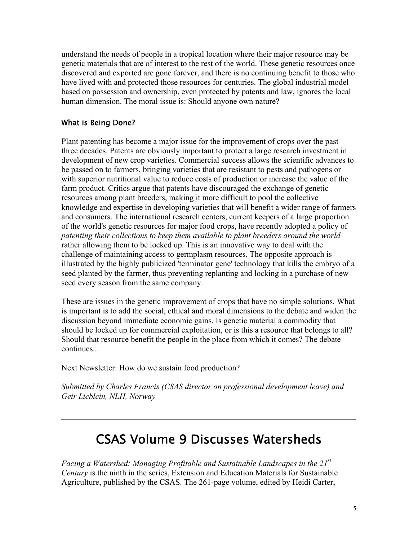understand the needs of people in a tropical location where their major resource may be genetic materials that are of interest to the rest of the world. These genetic resources once discovered and exported are gone forever, and there is no continuing benefit to those who have lived with and protected those resources for centuries. The global industrial model based on possession and ownership, even protected by patents and law, ignores the local human dimension. The moral issue is: Should anyone own nature?

#### What is Being Done?

Plant patenting has become a major issue for the improvement of crops over the past three decades. Patents are obviously important to protect a large research investment in development of new crop varieties. Commercial success allows the scientific advances to be passed on to farmers, bringing varieties that are resistant to pests and pathogens or with superior nutritional value to reduce costs of production or increase the value of the farm product. Critics argue that patents have discouraged the exchange of genetic resources among plant breeders, making it more difficult to pool the collective knowledge and expertise in developing varieties that will benefit a wider range of farmers and consumers. The international research centers, current keepers of a large proportion of the world's genetic resources for major food crops, have recently adopted a policy of *patenting their collections to keep them available to plant breeders around the world* rather allowing them to be locked up. This is an innovative way to deal with the challenge of maintaining access to germplasm resources. The opposite approach is illustrated by the highly publicized 'terminator gene' technology that kills the embryo of a seed planted by the farmer, thus preventing replanting and locking in a purchase of new seed every season from the same company.

These are issues in the genetic improvement of crops that have no simple solutions. What is important is to add the social, ethical and moral dimensions to the debate and widen the discussion beyond immediate economic gains. Is genetic material a commodity that should be locked up for commercial exploitation, or is this a resource that belongs to all? Should that resource benefit the people in the place from which it comes? The debate continues...

Next Newsletter: How do we sustain food production?

*Submitted by Charles Francis (CSAS director on professional development leave) and Geir Lieblein, NLH, Norway*

## CSAS Volume 9 Discusses Watersheds

*Facing a Watershed: Managing Profitable and Sustainable Landscapes in the 21st Century* is the ninth in the series, Extension and Education Materials for Sustainable Agriculture, published by the CSAS. The 261-page volume, edited by Heidi Carter,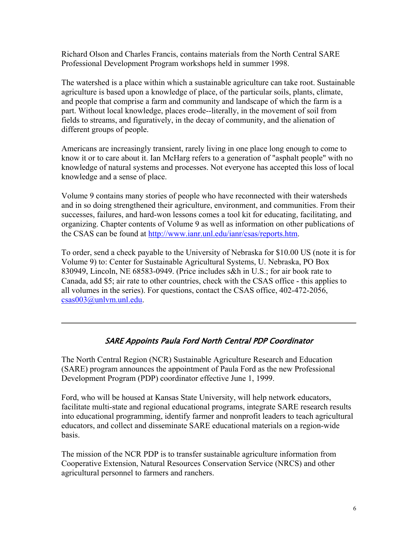Richard Olson and Charles Francis, contains materials from the North Central SARE Professional Development Program workshops held in summer 1998.

The watershed is a place within which a sustainable agriculture can take root. Sustainable agriculture is based upon a knowledge of place, of the particular soils, plants, climate, and people that comprise a farm and community and landscape of which the farm is a part. Without local knowledge, places erode--literally, in the movement of soil from fields to streams, and figuratively, in the decay of community, and the alienation of different groups of people.

Americans are increasingly transient, rarely living in one place long enough to come to know it or to care about it. Ian McHarg refers to a generation of "asphalt people" with no knowledge of natural systems and processes. Not everyone has accepted this loss of local knowledge and a sense of place.

Volume 9 contains many stories of people who have reconnected with their watersheds and in so doing strengthened their agriculture, environment, and communities. From their successes, failures, and hard-won lessons comes a tool kit for educating, facilitating, and organizing. Chapter contents of Volume 9 as well as information on other publications of the CSAS can be found at http://www.ianr.unl.edu/ianr/csas/reports.htm.

To order, send a check payable to the University of Nebraska for \$10.00 US (note it is for Volume 9) to: Center for Sustainable Agricultural Systems, U. Nebraska, PO Box 830949, Lincoln, NE 68583-0949. (Price includes s&h in U.S.; for air book rate to Canada, add \$5; air rate to other countries, check with the CSAS office - this applies to all volumes in the series). For questions, contact the CSAS office, 402-472-2056, csas003@unlvm.unl.edu.

#### SARE Appoints Paula Ford North Central PDP Coordinator

The North Central Region (NCR) Sustainable Agriculture Research and Education (SARE) program announces the appointment of Paula Ford as the new Professional Development Program (PDP) coordinator effective June 1, 1999.

Ford, who will be housed at Kansas State University, will help network educators, facilitate multi-state and regional educational programs, integrate SARE research results into educational programming, identify farmer and nonprofit leaders to teach agricultural educators, and collect and disseminate SARE educational materials on a region-wide basis.

The mission of the NCR PDP is to transfer sustainable agriculture information from Cooperative Extension, Natural Resources Conservation Service (NRCS) and other agricultural personnel to farmers and ranchers.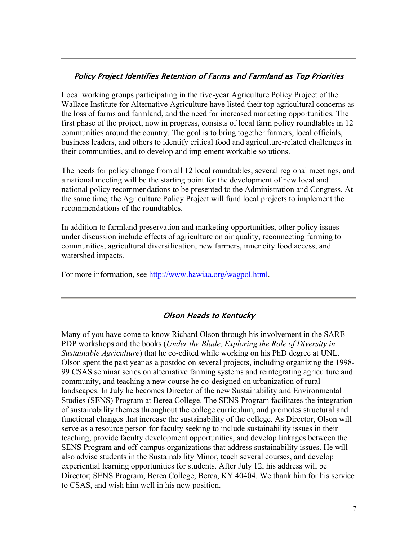#### Policy Project Identifies Retention of Farms and Farmland as Top Priorities

Local working groups participating in the five-year Agriculture Policy Project of the Wallace Institute for Alternative Agriculture have listed their top agricultural concerns as the loss of farms and farmland, and the need for increased marketing opportunities. The first phase of the project, now in progress, consists of local farm policy roundtables in 12 communities around the country. The goal is to bring together farmers, local officials, business leaders, and others to identify critical food and agriculture-related challenges in their communities, and to develop and implement workable solutions.

The needs for policy change from all 12 local roundtables, several regional meetings, and a national meeting will be the starting point for the development of new local and national policy recommendations to be presented to the Administration and Congress. At the same time, the Agriculture Policy Project will fund local projects to implement the recommendations of the roundtables.

In addition to farmland preservation and marketing opportunities, other policy issues under discussion include effects of agriculture on air quality, reconnecting farming to communities, agricultural diversification, new farmers, inner city food access, and watershed impacts.

For more information, see http://www.hawiaa.org/wagpol.html.

#### Olson Heads to Kentucky

Many of you have come to know Richard Olson through his involvement in the SARE PDP workshops and the books (*Under the Blade, Exploring the Role of Diversity in Sustainable Agriculture*) that he co-edited while working on his PhD degree at UNL. Olson spent the past year as a postdoc on several projects, including organizing the 1998- 99 CSAS seminar series on alternative farming systems and reintegrating agriculture and community, and teaching a new course he co-designed on urbanization of rural landscapes. In July he becomes Director of the new Sustainability and Environmental Studies (SENS) Program at Berea College. The SENS Program facilitates the integration of sustainability themes throughout the college curriculum, and promotes structural and functional changes that increase the sustainability of the college. As Director, Olson will serve as a resource person for faculty seeking to include sustainability issues in their teaching, provide faculty development opportunities, and develop linkages between the SENS Program and off-campus organizations that address sustainability issues. He will also advise students in the Sustainability Minor, teach several courses, and develop experiential learning opportunities for students. After July 12, his address will be Director; SENS Program, Berea College, Berea, KY 40404. We thank him for his service to CSAS, and wish him well in his new position.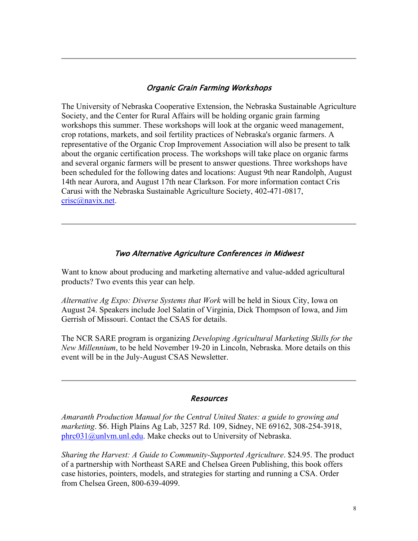#### Organic Grain Farming Workshops

The University of Nebraska Cooperative Extension, the Nebraska Sustainable Agriculture Society, and the Center for Rural Affairs will be holding organic grain farming workshops this summer. These workshops will look at the organic weed management, crop rotations, markets, and soil fertility practices of Nebraska's organic farmers. A representative of the Organic Crop Improvement Association will also be present to talk about the organic certification process. The workshops will take place on organic farms and several organic farmers will be present to answer questions. Three workshops have been scheduled for the following dates and locations: August 9th near Randolph, August 14th near Aurora, and August 17th near Clarkson. For more information contact Cris Carusi with the Nebraska Sustainable Agriculture Society, 402-471-0817, crisc@navix.net.

#### Two Alternative Agriculture Conferences in Midwest

Want to know about producing and marketing alternative and value-added agricultural products? Two events this year can help.

*Alternative Ag Expo: Diverse Systems that Work* will be held in Sioux City, Iowa on August 24. Speakers include Joel Salatin of Virginia, Dick Thompson of Iowa, and Jim Gerrish of Missouri. Contact the CSAS for details.

The NCR SARE program is organizing *Developing Agricultural Marketing Skills for the New Millennium*, to be held November 19-20 in Lincoln, Nebraska. More details on this event will be in the July-August CSAS Newsletter.

#### Resources

*Amaranth Production Manual for the Central United States: a guide to growing and marketing*. \$6. High Plains Ag Lab, 3257 Rd. 109, Sidney, NE 69162, 308-254-3918, phrc031@unlvm.unl.edu. Make checks out to University of Nebraska.

*Sharing the Harvest: A Guide to Community-Supported Agriculture*. \$24.95. The product of a partnership with Northeast SARE and Chelsea Green Publishing, this book offers case histories, pointers, models, and strategies for starting and running a CSA. Order from Chelsea Green, 800-639-4099.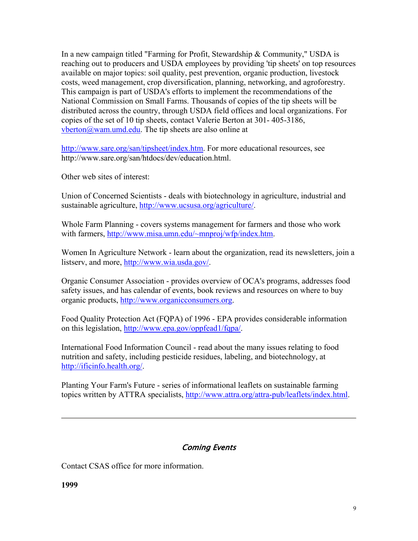In a new campaign titled "Farming for Profit, Stewardship & Community," USDA is reaching out to producers and USDA employees by providing 'tip sheets' on top resources available on major topics: soil quality, pest prevention, organic production, livestock costs, weed management, crop diversification, planning, networking, and agroforestry. This campaign is part of USDA's efforts to implement the recommendations of the National Commission on Small Farms. Thousands of copies of the tip sheets will be distributed across the country, through USDA field offices and local organizations. For copies of the set of 10 tip sheets, contact Valerie Berton at 301- 405-3186,  $vberton@wam.$ umd.edu. The tip sheets are also online at

http://www.sare.org/san/tipsheet/index.htm. For more educational resources, see http://www.sare.org/san/htdocs/dev/education.html.

Other web sites of interest:

Union of Concerned Scientists - deals with biotechnology in agriculture, industrial and sustainable agriculture, http://www.ucsusa.org/agriculture/.

Whole Farm Planning - covers systems management for farmers and those who work with farmers, http://www.misa.umn.edu/~mnproj/wfp/index.htm.

Women In Agriculture Network - learn about the organization, read its newsletters, join a listserv, and more, http://www.wia.usda.gov/.

Organic Consumer Association - provides overview of OCA's programs, addresses food safety issues, and has calendar of events, book reviews and resources on where to buy organic products, http://www.organicconsumers.org.

Food Quality Protection Act (FQPA) of 1996 - EPA provides considerable information on this legislation, http://www.epa.gov/oppfead1/fqpa/.

International Food Information Council - read about the many issues relating to food nutrition and safety, including pesticide residues, labeling, and biotechnology, at http://ificinfo.health.org/.

Planting Your Farm's Future - series of informational leaflets on sustainable farming topics written by ATTRA specialists, http://www.attra.org/attra-pub/leaflets/index.html.

#### Coming Events

Contact CSAS office for more information.

**1999**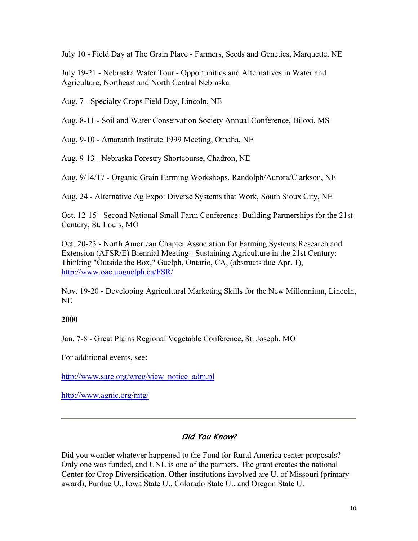July 10 - Field Day at The Grain Place - Farmers, Seeds and Genetics, Marquette, NE

July 19-21 - Nebraska Water Tour - Opportunities and Alternatives in Water and Agriculture, Northeast and North Central Nebraska

Aug. 7 - Specialty Crops Field Day, Lincoln, NE

Aug. 8-11 - Soil and Water Conservation Society Annual Conference, Biloxi, MS

Aug. 9-10 - Amaranth Institute 1999 Meeting, Omaha, NE

Aug. 9-13 - Nebraska Forestry Shortcourse, Chadron, NE

Aug. 9/14/17 - Organic Grain Farming Workshops, Randolph/Aurora/Clarkson, NE

Aug. 24 - Alternative Ag Expo: Diverse Systems that Work, South Sioux City, NE

Oct. 12-15 - Second National Small Farm Conference: Building Partnerships for the 21st Century, St. Louis, MO

Oct. 20-23 - North American Chapter Association for Farming Systems Research and Extension (AFSR/E) Biennial Meeting - Sustaining Agriculture in the 21st Century: Thinking "Outside the Box," Guelph, Ontario, CA, (abstracts due Apr. 1), http://www.oac.uoguelph.ca/FSR/

Nov. 19-20 - Developing Agricultural Marketing Skills for the New Millennium, Lincoln, NE

#### **2000**

Jan. 7-8 - Great Plains Regional Vegetable Conference, St. Joseph, MO

For additional events, see:

http://www.sare.org/wreg/view\_notice\_adm.pl

http://www.agnic.org/mtg/

#### Did You Know?

Did you wonder whatever happened to the Fund for Rural America center proposals? Only one was funded, and UNL is one of the partners. The grant creates the national Center for Crop Diversification. Other institutions involved are U. of Missouri (primary award), Purdue U., Iowa State U., Colorado State U., and Oregon State U.